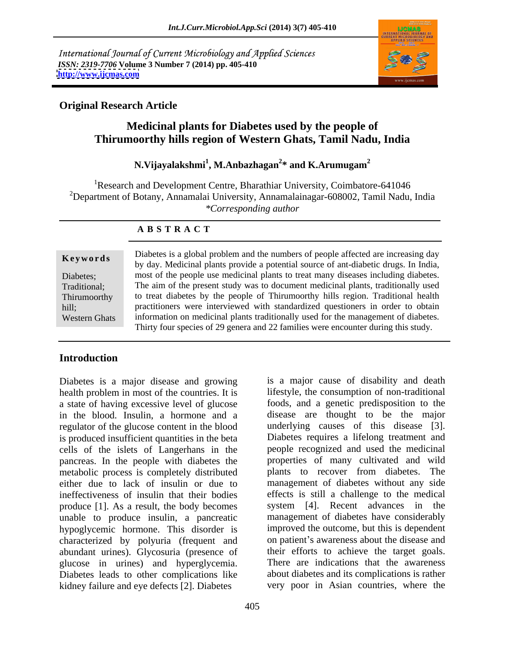International Journal of Current Microbiology and Applied Sciences *ISSN: 2319-7706* **Volume 3 Number 7 (2014) pp. 405-410 <http://www.ijcmas.com>**



### **Original Research Article**

### **Medicinal plants for Diabetes used by the people of Thirumoorthy hills region of Western Ghats, Tamil Nadu, India**

### **N.Vijayalakshmi<sup>1</sup> , M.Anbazhagan<sup>2</sup> \* and K.Arumugam<sup>2</sup>**

<sup>1</sup>Research and Development Centre, Bharathiar University, Coimbatore-641046 <sup>2</sup>Department of Botany, Annamalai University, Annamalainagar-608002, Tamil Nadu, India *\*Corresponding author* 

| Keywords             | Diabetes is a global problem and the numbers of people affected are increasing day   |  |  |
|----------------------|--------------------------------------------------------------------------------------|--|--|
|                      | by day. Medicinal plants provide a potential source of ant-diabetic drugs. In India, |  |  |
| Diabetes;            | most of the people use medicinal plants to treat many diseases including diabetes.   |  |  |
| Traditional:         | The aim of the present study was to document medicinal plants, traditionally used    |  |  |
| Thirumoorthy         | to treat diabetes by the people of Thirumoorthy hills region. Traditional health     |  |  |
| hill;                | practitioners were interviewed with standardized questioners in order to obtain      |  |  |
| <b>Western Ghats</b> | information on medicinal plants traditionally used for the management of diabetes.   |  |  |
|                      | Thirty four species of 29 genera and 22 families were encounter during this study.   |  |  |

### **A B S T R A C T**

### **Introduction**

Diabetes is a major disease and growing health problem in most of the countries. It is a state of having excessive level of glucose in the blood. Insulin, a hormone and a disease are thought to be the major regulator of the glucose content in the blood underlying causes of this disease [3]. is produced insufficient quantities in the beta cells of the islets of Langerhans in the people recognized and used the medicinal pancreas. In the people with diabetes the metabolic process is completely distributed either due to lack of insulin or due to management of diabetes without any side ineffectiveness of insulin that their bodies effects is still a challenge to the medical produce [1]. As a result, the body becomes unable to produce insulin, a pancreatic hypoglycemic hormone. This disorder is characterized by polyuria (frequent and abundant urines). Glycosuria (presence of glucose in urines) and hyperglycemia. Diabetes leads to other complications like kidney failure and eye defects [2]. Diabetes

is a major cause of disability and death lifestyle, the consumption of non-traditional foods, and a genetic predisposition to the Diabetes requires a lifelong treatment and properties of many cultivated and wild plants to recover from diabetes. The system [4]. Recent advances in the management of diabetes have considerably improved the outcome, but this is dependent on patient's awareness about the disease and their efforts to achieve the target goals. There are indications that the awareness about diabetes and its complications is rather very poor in Asian countries, where the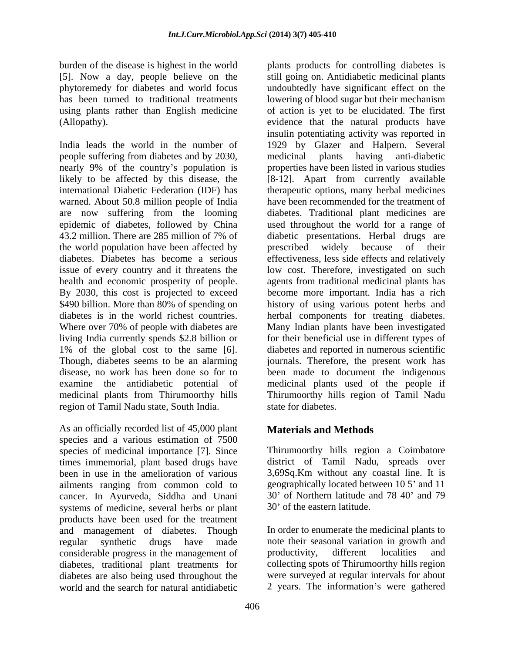burden of the disease is highest in the world plants products for controlling diabetes is [5]. Now a day, people believe on the

people suffering from diabetes and by 2030, medicinal plants having anti-diabetic are now suffering from the looming the world population have been affected by prescribed widely because of their living India currently spends \$2.8 billion or region of Tamil Nadu state, South India.

As an officially recorded list of 45,000 plant species and a various estimation of 7500 species of medicinal importance [7]. Since times immemorial, plant based drugs have been in use in the amelioration of various 3,69Sq.Km without any coastal line. It is ailments ranging from common cold to cancer. In Ayurveda, Siddha and Unani 30' of Northern latitude a<br>systems of medicine, several herbs or plant 30' of the eastern latitude. systems of medicine, several herbs or plant products have been used for the treatment and management of diabetes. Though regular synthetic drugs have made note their seasonal variation in growth and considerable progress in the management of diabetes, traditional plant treatments for diabetes are also being used throughout the world and the search for natural antidiabetic 2 years. The information's were gathered

phytoremedy for diabetes and world focus undoubtedly have significant effect on the has been turned to traditional treatments lowering of blood sugar but their mechanism using plants rather than English medicine of action is yet to be elucidated. The first (Allopathy). evidence that the natural products have India leads the world in the number of 1929 by Glazer and Halpern. Several nearly 9% of the country's population is properties have been listed in various studies likely to be affected by this disease, the [8-12]. Apart from currently available international Diabetic Federation (IDF) has therapeutic options, many herbal medicines warned. About 50.8 million people of India have been recommended for the treatment of epidemic of diabetes, followed by China used throughout the world for a range of 43.2 million. There are 285 million of 7% of diabetic presentations. Herbal drugs are diabetes. Diabetes has become a serious effectiveness, less side effects and relatively issue of every country and it threatens the low cost. Therefore, investigated on such health and economic prosperity of people. agents from traditional medicinal plants has By 2030, this cost is projected to exceed become more important. India has a rich \$490 billion. More than 80% of spending on history of using various potent herbs and diabetes is in the world richest countries. herbal components for treating diabetes. Where over 70% of people with diabetes are Many Indian plants have been investigated 1% of the global cost to the same [6]. diabetes and reported in numerous scientific Though, diabetes seems to be an alarming journals. Therefore, the present work has disease, no work has been done so for to been made to document the indigenous examine the antidiabetic potential of medicinal plants used of the people if medicinal plants from Thirumoorthy hills Thirumoorthy hills region of Tamil Nadu still going on. Antidiabetic medicinal plants insulin potentiating activity was reported in medicinal plants having anti-diabetic diabetes. Traditional plant medicines are diabetic presentations. Herbal drugs are prescribed widely because of their for their beneficial use in different types of state for diabetes.

## **Materials and Methods**

Thirumoorthy hills region a Coimbatore district of Tamil Nadu, spreads over geographically located between 10 5' and 11 30' of Northern latitude and 78 40' and 79 30' of the eastern latitude.

In order to enumerate the medicinal plants to productivity, different localities and collecting spots of Thirumoorthy hills region were surveyed at regular intervals for about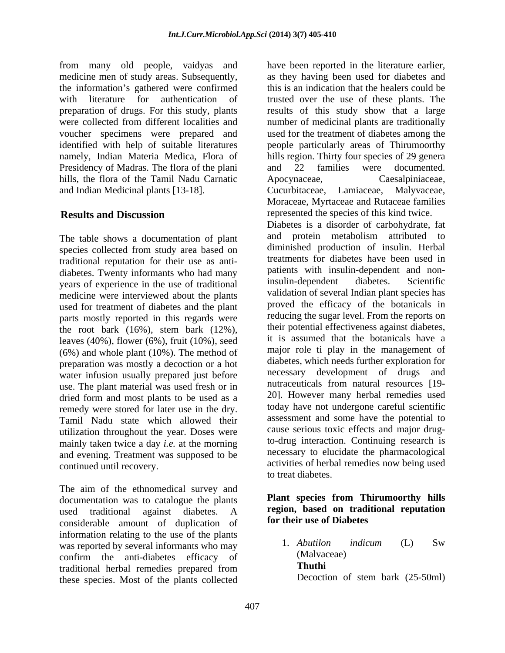from many old people, vaidyas and medicine men of study areas. Subsequently, the information's gathered were confirmed Presidency of Madras. The flora of the plani and 22 families were documented. hills, the flora of the Tamil Nadu Carnatic Apocynaceae, Caesalpiniaceae, and Indian Medicinal plants [13-18]. Cucurbitaceae, Lamiaceae, Malyvaceae,

The table shows a documentation of plant species collected from study area based on traditional reputation for their use as anti diabetes. Twenty informants who had many attents with insulin-dependent and non-<br>vears of experience in the use of traditional insulin-dependent diabetes. Scientific years of experience in the use of traditional medicine were interviewed about the plants used for treatment of diabetes and the plant parts mostly reported in this regards were the root bark  $(16\%)$ , stem bark  $(12\%)$ , leaves (40%), flower (6%), fruit (10%), seed (6%) and whole plant (10%). The method of preparation was mostly a decoction or a hot water infusion usually prepared just before use. The plant material was used fresh or in dried form and most plants to be used as a remedy were stored for later use in the dry. Tamil Nadu state which allowed their utilization throughout the year. Doses were mainly taken twice a day *i.e.* at the morning and evening. Treatment was supposed to be

The aim of the ethnomedical survey and documentation was to catalogue the plants used traditional against diabetes. A considerable amount of duplication of information relating to the use of the plants<br>was reported by several informants who may all abutilon indicum (L) Sw was reported by several informants who may  $\begin{array}{ccc} 1. & Abution \\ \hline \end{array}$  (Malvaceae) confirm the anti-diabetes efficacy of (Malvachine in the Malvachine of the Contract of the Contract of the Contract of the Contract of the Contract of the Contract of the Contract of the Contract of the Contract of the Con traditional herbal remedies prepared from Thuthi<br>these species Most of the plants collected Decoction of stem bark (25-50ml) these species. Most of the plants collected

with literature for authentication of trusted over the use of these plants. The preparation of drugs. For this study, plants results of this study show that a large were collected from different localities and number of medicinal plants are traditionally voucher specimens were prepared and used for the treatment of diabetes among the identified with help of suitable literatures people particularly areas of Thirumoorthy namely, Indian Materia Medica, Flora of hills region. Thirty four species of 29 genera **Results and Discussion** represented the species of this kind twice. continued until recovery. activities of herbal remedies now being used have been reported in the literature earlier, as they having been used for diabetes and this is an indication that the healers could be and 22 families were documented. Apocynaceae, Caesalpiniaceae, Cucurbitaceae, Lamiaceae, Moraceae, Myrtaceae and Rutaceae families Diabetes is a disorder of carbohydrate, fat and protein metabolism attributed to diminished production of insulin. Herbal treatments for diabetes have been used in patients with insulin-dependent and noninsulin-dependent diabetes. Scientific validation of several Indian plant species has proved the efficacy of the botanicals in reducing the sugar level. From the reports on their potential effectiveness against diabetes, it is assumed that the botanicals have a major role ti play in the management of diabetes, which needs further exploration for necessary development of drugs and nutraceuticals from natural resources [19- 20]. However many herbal remedies used today have not undergone careful scientific assessment and some have the potential to cause serious toxic effects and major drugto-drug interaction. Continuing research is necessary to elucidate the pharmacological to treat diabetes.

### **Plant species from Thirumoorthy hills region, based on traditional reputation for their use of Diabetes**

1. *Abutilon indicum* (L) Sw (Malvaceae) **Thuthi**  Decoction of stem bark (25-50ml)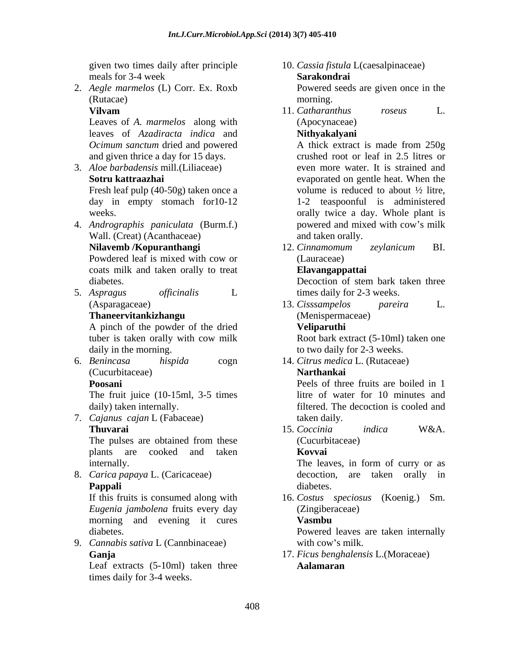2. *Aegle marmelos* (L) Corr. Ex. Roxb (Rutacae) morning.

Leaves of *A. marmelos* along with leaves of *Azadiracta indica* and

day in empty stomach for10-12

- 4. *Andrographis paniculata* (Burm.f.) Wall. (Creat) (Acanthaceae) coats milk and taken orally to treat
- 

A pinch of the powder of the dried Veliparuthi tuber is taken orally with cow milk Root bark extract (5-10ml) taken one daily in the morning. to two daily for 2-3 weeks.

6. *Benincasa hispida* cogn 14. *Citrus medica* L. (Rutaceae) (Cucurbitaceae)

The fruit juice (10-15ml, 3-5 times litre of water for 10 minutes and

7. *Cajanus cajan* L (Fabaceae)

plants are cooked and taken **Kovvai** 

8. *Carica papaya* L. (Caricaceae)

*Eugenia jambolena* fruits every day morning and evening it cures Vasmbu

9. *Cannabis sativa* L (Cannbinaceae)

# Leaf extracts (5-10ml) taken three times daily for 3-4 weeks.

- given two times daily after principle 10. *Cassia fistula* L(caesalpinaceae) meals for 3-4 week **Sarakondrai Sarakondrai** Powered seeds are given once in the
- **Vilvam** 11. Catharanthus roseus L. morning. 11. *Catharanthus roseus* L. (Apocynaceae) **Nithyakalyani**

*Ocimum sanctum* dried and powered A thick extract is made from 250g and given thrice a day for 15 days. crushed root or leaf in 2.5 litres or 3. *Aloe barbadensis* mill.(Liliaceae) even more water. It is strained and **Sotru kattraazhai** evaporated on gentle heat. When the Fresh leaf pulp (40-50g) taken once a volume is reduced to about  $\frac{1}{2}$  litre, weeks. **orally** twice a day. Whole plant is A thick extract is made from 250g volume is reduced to about ½ litre, 1-2 teaspoonful is administered powered and mixed with cow's milk and taken orally.

**Nilavemb /Kopuranthangi** Powdered leaf is mixed with cow or (Lauraceae) 12. *Cinnamomum zeylanicum* BI. (Lauraceae)

### **Elavangappattai**

diabetes.<br>5. *Aspragus officinalis* L Decoction of stem bark taken three<br>times daily for 2-3 weeks. Decoction of stem bark taken three times daily for 2-3 weeks.

(Asparagaceae) and 13. Cisssampelos pareira L. **Thaneervitankizhangu** 13. *Cisssampelos pareira* L. (Menispermaceae) **Veliparuthi**

**Poosani** Peels of three fruits are boiled in 1 **Narthankai**

daily) taken internally. filtered. The decoction is cooled and taken daily.

**Thuvarai**  The pulses are obtained from these (Cucurbitaceae) 15. *Coccinia indica* W&A. (Cucurbitaceae) **Kovvai**

internally. The leaves, in form of curry or as **Pappali Contract Contract Contract Contract Contract Contract Contract Contract Contract Contract Contract Contract Contract Contract Contract Contract Contract Contract Contract Contract Contract Contract Contract Cont** The leaves, in form of curry or as decoction, are taken orally in diabetes.

If this fruits is consumed along with 16. *Costus speciosus* (Koenig.) Sm. (Zingiberaceae)

### **Vasmbu**

diabetes. Powered leaves are taken internally with cow's milk.

**Ganja** 17. *Ficus benghalensis* L.(Moraceae) **Aalamaran**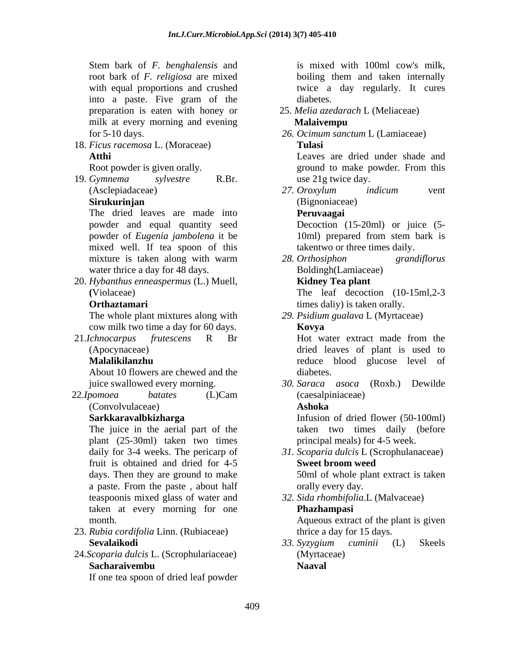Stem bark of *F. benghalensis* and root bark of *F. religiosa* are mixed with equal proportions and crushed twice a day regularly. It cures into a paste. Five gram of the preparation is eaten with honey or milk at every morning and evening **Malaivempu** for 5-10 days. *26. Ocimum sanctum* L (Lamiaceae)

18. *Ficus racemosa* L. (Moraceae) **Atthi** Leaves are dried under shade and

19. *Gymnema sylvestre* R.Br.

The dried leaves are made into **Peruvangai** powder and equal quantity seed powder of *Eugenia jambolena* it be mixed well. If tea spoon of this water thrice a day for 48 days.

20. *Hybanthus enneaspermus* (L.) Muell, **(**Violaceae) The leaf decoction (10-15ml,2-3

The whole plant mixtures along with cow milk two time a day for 60 days.

21.*Ichnocarpus frutescens* R Br

About 10 flowers are chewed and the

 22.*Ipomoea batates* (L)Cam (Convolvulaceae)

The juice in the aerial part of the plant (25-30ml) taken two times fruit is obtained and dried for 4-5 **Sweet broom weed** days. Then they are ground to make 50ml of whole plant extract is taken a paste. From the paste, about half orally every day. teaspoonis mixed glass of water and *32. Sida rhombifolia*.L (Malvaceae) taken at every morning for one **Phazhampasi** 

- 23. *Rubia cordifolia* Linn. (Rubiaceae)
- 24.*Scoparia dulcis* L. (Scrophulariaceae) **Sacharaivembu**

If one tea spoon of dried leaf powder

is mixed with 100ml cow's milk, boiling them and taken internally diabetes.

25. *Melia azedarach* L (Meliaceae)

### **Malaivempu**

**Tulasi**

Root powder is given orally. The second powder of powder. From this ground to make powder. From this ground to make powder. From this use 21g twice day.

(Asclepiadaceae) 27. Oroxylum indicum vent **Sirukurinjan**  (Bignoniaceae) *27. Oroxylum indicum* vent

### **Peruvaagai**

Decoction (15-20ml) or juice (5- 10ml) prepared from stem bark is takentwo or three times daily.

mixture is taken along with warm 28. Orthosiphon grandiflorus *28. Orthosiphon grandiflorus* Boldingh(Lamiaceae) **Kidney Tea plant**

- **Orthaztamari times daliy**) is taken orally.
	- *29. Psidium gualava* L (Myrtaceae)

### **Kovya**

(Apocynaceae) dried leaves of plant is used to **Malalikilanzhu** reduce blood glucose level of Hot water extract made from the diabetes.

juice swallowed every morning. *30. Saraca asoca* (Roxb.) Dewilde (caesalpiniaceae)

### **Ashoka**

**Sarkkaravalbkizharga** Infusion of dried flower (50-100ml) taken two times daily (before principal meals) for 4-5 week.

daily for 3-4 weeks. The pericarp of *31. Scoparia dulcis* L (Scrophulanaceae) **Sweet broom weed**

orally every day.

**Phazhampasi**

month. Aqueous extract of the plant is given thrice a day for 15 days.

Sevalaikodi 33. Syzygium cuminii (L) Skeels *33. Syzygium cuminii* (L) Skeels (Myrtaceae) **Naaval**